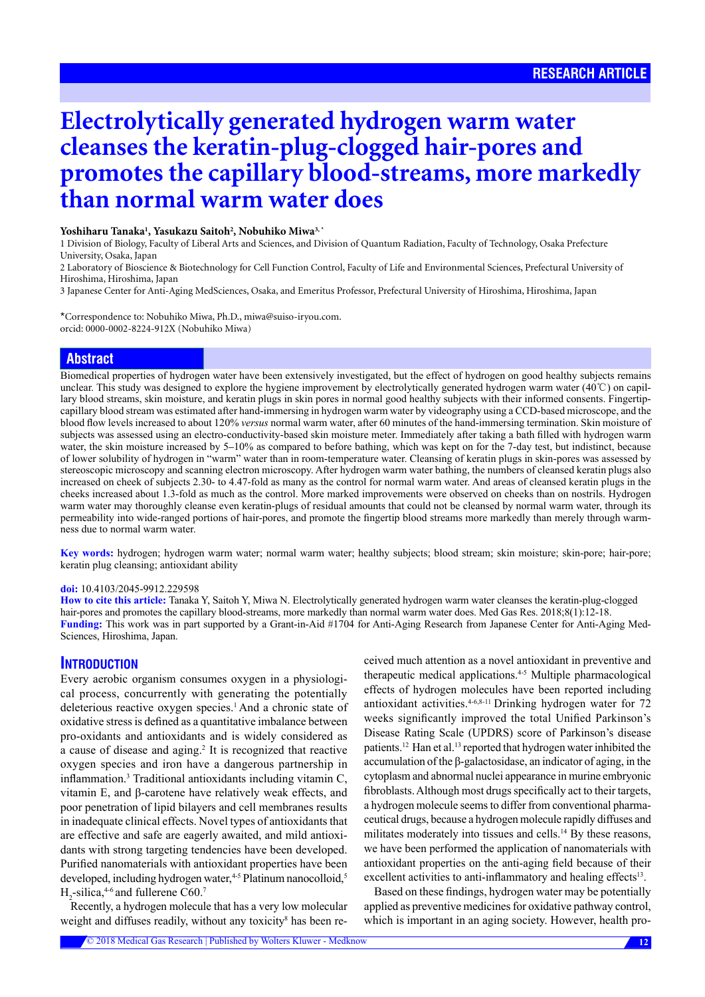# **Electrolytically generated hydrogen warm water cleanses the keratin-plug-clogged hair-pores and promotes the capillary blood-streams, more markedly than normal warm water does**

## **Yoshiharu Tanaka1 , Yasukazu Saitoh2 , Nobuhiko Miwa3, \***

1 Division of Biology, Faculty of Liberal Arts and Sciences, and Division of Quantum Radiation, Faculty of Technology, Osaka Prefecture University, Osaka, Japan

2 Laboratory of Bioscience & Biotechnology for Cell Function Control, Faculty of Life and Environmental Sciences, Prefectural University of Hiroshima, Hiroshima, Japan

3 Japanese Center for Anti-Aging MedSciences, Osaka, and Emeritus Professor, Prefectural University of Hiroshima, Hiroshima, Japan

\*Correspondence to: Nobuhiko Miwa, Ph.D., miwa@suiso-iryou.com. orcid: [0000-0002-8224-9](http://orcid.org/0000-0002-8224-912X)12X (Nobuhiko Miwa)

## **Abstract**

Biomedical properties of hydrogen water have been extensively investigated, but the effect of hydrogen on good healthy subjects remains unclear. This study was designed to explore the hygiene improvement by electrolytically generated hydrogen warm water (40℃) on capillary blood streams, skin moisture, and keratin plugs in skin pores in normal good healthy subjects with their informed consents. Fingertipcapillary blood stream was estimated after hand-immersing in hydrogen warm water by videography using a CCD-based microscope, and the blood flow levels increased to about 120% *versus* normal warm water, after 60 minutes of the hand-immersing termination. Skin moisture of subjects was assessed using an electro-conductivity-based skin moisture meter. Immediately after taking a bath filled with hydrogen warm water, the skin moisture increased by 5–10% as compared to before bathing, which was kept on for the 7-day test, but indistinct, because of lower solubility of hydrogen in "warm" water than in room-temperature water. Cleansing of keratin plugs in skin-pores was assessed by stereoscopic microscopy and scanning electron microscopy. After hydrogen warm water bathing, the numbers of cleansed keratin plugs also increased on cheek of subjects 2.30- to 4.47-fold as many as the control for normal warm water. And areas of cleansed keratin plugs in the cheeks increased about 1.3-fold as much as the control. More marked improvements were observed on cheeks than on nostrils. Hydrogen warm water may thoroughly cleanse even keratin-plugs of residual amounts that could not be cleansed by normal warm water, through its permeability into wide-ranged portions of hair-pores, and promote the fingertip blood streams more markedly than merely through warmness due to normal warm water.

**Key words:** hydrogen; hydrogen warm water; normal warm water; healthy subjects; blood stream; skin moisture; skin-pore; hair-pore; keratin plug cleansing; antioxidant ability

### **doi:** 10.4103/2045-9912.229598

**How to cite this article:** Tanaka Y, Saitoh Y, Miwa N. Electrolytically generated hydrogen warm water cleanses the keratin-plug-clogged hair-pores and promotes the capillary blood-streams, more markedly than normal warm water does. Med Gas Res. 2018;8(1):12-18. **Funding:** This work was in part supported by a Grant-in-Aid #1704 for Anti-Aging Research from Japanese Center for Anti-Aging Med-Sciences, Hiroshima, Japan.

## **INTRODUCTION**

Every aerobic organism consumes oxygen in a physiological process, concurrently with generating the potentially deleterious reactive oxygen species.<sup>1</sup> And a chronic state of oxidative stress is defined as a quantitative imbalance between pro-oxidants and antioxidants and is widely considered as a cause of disease and aging.<sup>2</sup> It is recognized that reactive oxygen species and iron have a dangerous partnership in inflammation.<sup>3</sup> Traditional antioxidants including vitamin C, vitamin E, and β-carotene have relatively weak effects, and poor penetration of lipid bilayers and cell membranes results in inadequate clinical effects. Novel types of antioxidants that are effective and safe are eagerly awaited, and mild antioxidants with strong targeting tendencies have been developed. Purified nanomaterials with antioxidant properties have been developed, including hydrogen water, 4-5 Platinum nanocolloid,<sup>5</sup>  $H_2$ -silica,<sup>4-6</sup> and fullerene C60.<sup>7</sup>

Recently, a hydrogen molecule that has a very low molecular weight and diffuses readily, without any toxicity<sup>8</sup> has been received much attention as a novel antioxidant in preventive and therapeutic medical applications.4-5 Multiple pharmacological effects of hydrogen molecules have been reported including antioxidant activities.<sup>4-6,8-11</sup> Drinking hydrogen water for 72 weeks significantly improved the total Unified Parkinson's Disease Rating Scale (UPDRS) score of Parkinson's disease patients.<sup>12</sup> Han et al.<sup>13</sup> reported that hydrogen water inhibited the accumulation of the β-galactosidase, an indicator of aging, in the cytoplasm and abnormal nuclei appearance in murine embryonic fibroblasts. Although most drugs specifically act to their targets, a hydrogen molecule seems to differ from conventional pharmaceutical drugs, because a hydrogen molecule rapidly diffuses and militates moderately into tissues and cells.<sup>14</sup> By these reasons, we have been performed the application of nanomaterials with antioxidant properties on the anti-aging field because of their excellent activities to anti-inflammatory and healing effects<sup>13</sup>.

Based on these findings, hydrogen water may be potentially applied as preventive medicines for oxidative pathway control, which is important in an aging society. However, health pro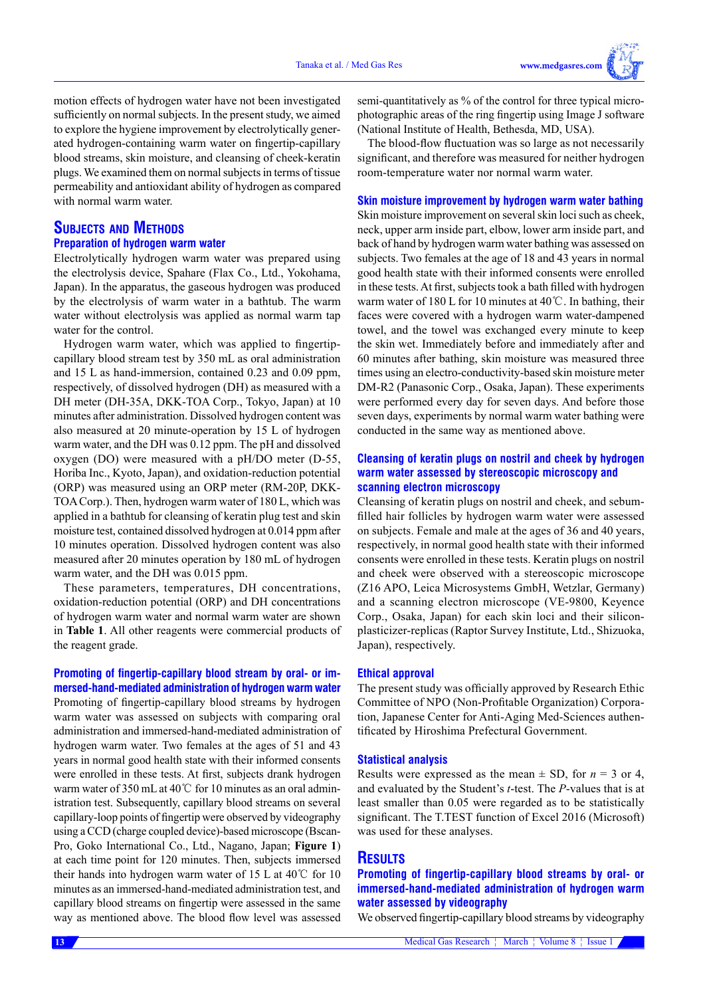motion effects of hydrogen water have not been investigated sufficiently on normal subjects. In the present study, we aimed to explore the hygiene improvement by electrolytically generated hydrogen-containing warm water on fingertip-capillary blood streams, skin moisture, and cleansing of cheek-keratin plugs. We examined them on normal subjects in terms of tissue permeability and antioxidant ability of hydrogen as compared with normal warm water.

## **Subjects and Methods Preparation of hydrogen warm water**

Electrolytically hydrogen warm water was prepared using the electrolysis device, Spahare (Flax Co., Ltd., Yokohama, Japan). In the apparatus, the gaseous hydrogen was produced by the electrolysis of warm water in a bathtub. The warm water without electrolysis was applied as normal warm tap water for the control.

Hydrogen warm water, which was applied to fingertipcapillary blood stream test by 350 mL as oral administration and 15 L as hand-immersion, contained 0.23 and 0.09 ppm, respectively, of dissolved hydrogen (DH) as measured with a DH meter (DH-35A, DKK-TOA Corp., Tokyo, Japan) at 10 minutes after administration. Dissolved hydrogen content was also measured at 20 minute-operation by 15 L of hydrogen warm water, and the DH was 0.12 ppm. The pH and dissolved oxygen (DO) were measured with a pH/DO meter (D-55, Horiba Inc., Kyoto, Japan), and oxidation-reduction potential (ORP) was measured using an ORP meter (RM-20P, DKK-TOA Corp.). Then, hydrogen warm water of 180 L, which was applied in a bathtub for cleansing of keratin plug test and skin moisture test, contained dissolved hydrogen at 0.014 ppm after 10 minutes operation. Dissolved hydrogen content was also measured after 20 minutes operation by 180 mL of hydrogen warm water, and the DH was 0.015 ppm.

These parameters, temperatures, DH concentrations, oxidation-reduction potential (ORP) and DH concentrations of hydrogen warm water and normal warm water are shown in **Table 1**. All other reagents were commercial products of the reagent grade.

## **Promoting of fingertip-capillary blood stream by oral- or immersed-hand-mediated administration of hydrogen warm water**

Promoting of fingertip-capillary blood streams by hydrogen warm water was assessed on subjects with comparing oral administration and immersed-hand-mediated administration of hydrogen warm water. Two females at the ages of 51 and 43 years in normal good health state with their informed consents were enrolled in these tests. At first, subjects drank hydrogen warm water of 350 mL at 40℃ for 10 minutes as an oral administration test. Subsequently, capillary blood streams on several capillary-loop points of fingertip were observed by videography using a CCD (charge coupled device)-based microscope (Bscan-Pro, Goko International Co., Ltd., Nagano, Japan; **Figure 1**) at each time point for 120 minutes. Then, subjects immersed their hands into hydrogen warm water of 15 L at 40℃ for 10 minutes as an immersed-hand-mediated administration test, and capillary blood streams on fingertip were assessed in the same way as mentioned above. The blood flow level was assessed

semi-quantitatively as % of the control for three typical microphotographic areas of the ring fingertip using Image J software (National Institute of Health, Bethesda, MD, USA).

The blood-flow fluctuation was so large as not necessarily significant, and therefore was measured for neither hydrogen room-temperature water nor normal warm water.

## **Skin moisture improvement by hydrogen warm water bathing**

Skin moisture improvement on several skin loci such as cheek, neck, upper arm inside part, elbow, lower arm inside part, and back of hand by hydrogen warm water bathing was assessed on subjects. Two females at the age of 18 and 43 years in normal good health state with their informed consents were enrolled in these tests. At first, subjects took a bath filled with hydrogen warm water of 180 L for 10 minutes at 40℃. In bathing, their faces were covered with a hydrogen warm water-dampened towel, and the towel was exchanged every minute to keep the skin wet. Immediately before and immediately after and 60 minutes after bathing, skin moisture was measured three times using an electro-conductivity-based skin moisture meter DM-R2 (Panasonic Corp., Osaka, Japan). These experiments were performed every day for seven days. And before those seven days, experiments by normal warm water bathing were conducted in the same way as mentioned above.

## **Cleansing of keratin plugs on nostril and cheek by hydrogen warm water assessed by stereoscopic microscopy and scanning electron microscopy**

Cleansing of keratin plugs on nostril and cheek, and sebumfilled hair follicles by hydrogen warm water were assessed on subjects. Female and male at the ages of 36 and 40 years, respectively, in normal good health state with their informed consents were enrolled in these tests. Keratin plugs on nostril and cheek were observed with a stereoscopic microscope (Z16 APO, Leica Microsystems GmbH, Wetzlar, Germany) and a scanning electron microscope (VE-9800, Keyence Corp., Osaka, Japan) for each skin loci and their siliconplasticizer-replicas (Raptor Survey Institute, Ltd., Shizuoka, Japan), respectively.

### **Ethical approval**

The present study was officially approved by Research Ethic Committee of NPO (Non-Profitable Organization) Corporation, Japanese Center for Anti-Aging Med-Sciences authentificated by Hiroshima Prefectural Government.

#### **Statistical analysis**

Results were expressed as the mean  $\pm$  SD, for  $n = 3$  or 4, and evaluated by the Student's *t*-test. The *P*-values that is at least smaller than 0.05 were regarded as to be statistically significant. The T.TEST function of Excel 2016 (Microsoft) was used for these analyses.

## **RESULTS**

**Promoting of fingertip-capillary blood streams by oral- or immersed-hand-mediated administration of hydrogen warm water assessed by videography**

We observed fingertip-capillary blood streams by videography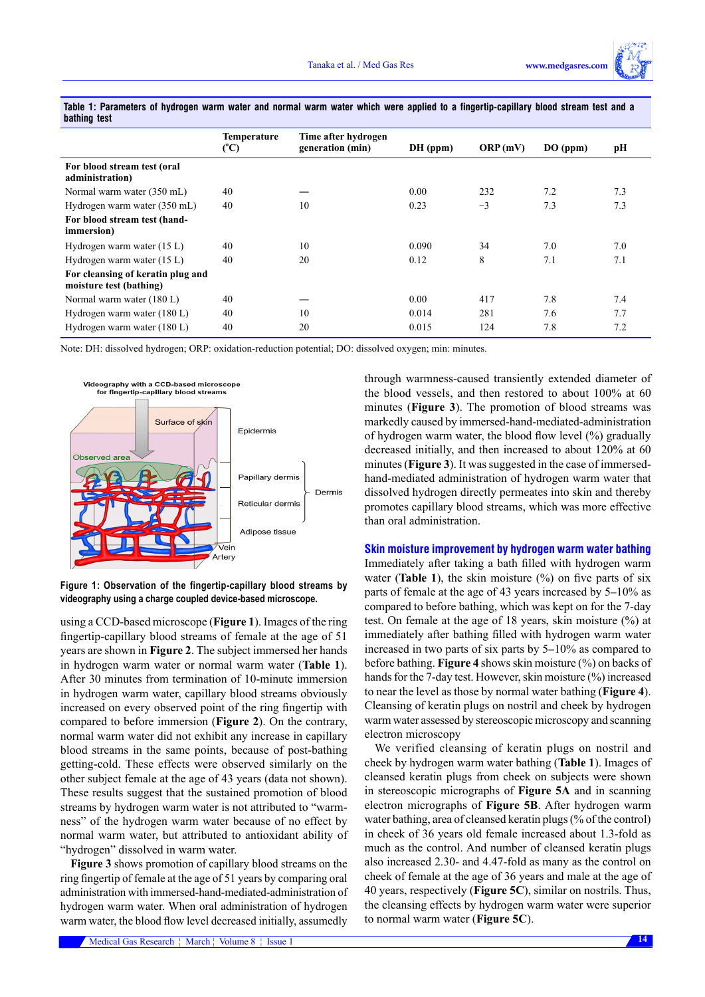|                                                              | Temperature<br>(°C) | Time after hydrogen<br>generation (min) | DH (ppm) | ORP(mV) | DO (ppm) | pН  |
|--------------------------------------------------------------|---------------------|-----------------------------------------|----------|---------|----------|-----|
| For blood stream test (oral<br>administration)               |                     |                                         |          |         |          |     |
| Normal warm water (350 mL)                                   | 40                  |                                         | 0.00     | 232     | 7.2      | 7.3 |
| Hydrogen warm water (350 mL)                                 | 40                  | 10                                      | 0.23     | $-3$    | 7.3      | 7.3 |
| For blood stream test (hand-<br><i>immersion</i> )           |                     |                                         |          |         |          |     |
| Hydrogen warm water (15 L)                                   | 40                  | 10                                      | 0.090    | 34      | 7.0      | 7.0 |
| Hydrogen warm water (15 L)                                   | 40                  | 20                                      | 0.12     | 8       | 7.1      | 7.1 |
| For cleansing of keratin plug and<br>moisture test (bathing) |                     |                                         |          |         |          |     |
| Normal warm water (180 L)                                    | 40                  |                                         | 0.00     | 417     | 7.8      | 7.4 |
| Hydrogen warm water (180 L)                                  | 40                  | 10                                      | 0.014    | 281     | 7.6      | 7.7 |
| Hydrogen warm water (180 L)                                  | 40                  | 20                                      | 0.015    | 124     | 7.8      | 7.2 |
|                                                              |                     |                                         |          |         |          |     |

**Table 1: Parameters of hydrogen warm water and normal warm water which were applied to a fingertip-capillary blood stream test and a bathing test**

Note: DH: dissolved hydrogen; ORP: oxidation-reduction potential; DO: dissolved oxygen; min: minutes.



**Figure 1: Observation of the fingertip-capillary blood streams by videography using a charge coupled device-based microscope.**

using a CCD-based microscope (**Figure 1**). Images of the ring fingertip-capillary blood streams of female at the age of 51 years are shown in **Figure 2**. The subject immersed her hands in hydrogen warm water or normal warm water (**Table 1**). After 30 minutes from termination of 10-minute immersion in hydrogen warm water, capillary blood streams obviously increased on every observed point of the ring fingertip with compared to before immersion (**Figure 2**). On the contrary, normal warm water did not exhibit any increase in capillary blood streams in the same points, because of post-bathing getting-cold. These effects were observed similarly on the other subject female at the age of 43 years (data not shown). These results suggest that the sustained promotion of blood streams by hydrogen warm water is not attributed to "warmness" of the hydrogen warm water because of no effect by normal warm water, but attributed to antioxidant ability of "hydrogen" dissolved in warm water.

**Figure 3** shows promotion of capillary blood streams on the ring fingertip of female at the age of 51 years by comparing oral administration with immersed-hand-mediated-administration of hydrogen warm water. When oral administration of hydrogen warm water, the blood flow level decreased initially, assumedly through warmness-caused transiently extended diameter of the blood vessels, and then restored to about 100% at 60 minutes (**Figure 3**). The promotion of blood streams was markedly caused by immersed-hand-mediated-administration of hydrogen warm water, the blood flow level (%) gradually decreased initially, and then increased to about 120% at 60 minutes (**Figure 3**). It was suggested in the case of immersedhand-mediated administration of hydrogen warm water that dissolved hydrogen directly permeates into skin and thereby promotes capillary blood streams, which was more effective than oral administration.

## **Skin moisture improvement by hydrogen warm water bathing**

Immediately after taking a bath filled with hydrogen warm water (**Table 1**), the skin moisture  $(\%)$  on five parts of six parts of female at the age of 43 years increased by 5–10% as compared to before bathing, which was kept on for the 7-day test. On female at the age of 18 years, skin moisture (%) at immediately after bathing filled with hydrogen warm water increased in two parts of six parts by 5–10% as compared to before bathing. **Figure 4** shows skin moisture (%) on backs of hands for the 7-day test. However, skin moisture (%) increased to near the level as those by normal water bathing (**Figure 4**). Cleansing of keratin plugs on nostril and cheek by hydrogen warm water assessed by stereoscopic microscopy and scanning electron microscopy

We verified cleansing of keratin plugs on nostril and cheek by hydrogen warm water bathing (**Table 1**). Images of cleansed keratin plugs from cheek on subjects were shown in stereoscopic micrographs of **Figure 5A** and in scanning electron micrographs of **Figure 5B**. After hydrogen warm water bathing, area of cleansed keratin plugs (% of the control) in cheek of 36 years old female increased about 1.3-fold as much as the control. And number of cleansed keratin plugs also increased 2.30- and 4.47-fold as many as the control on cheek of female at the age of 36 years and male at the age of 40 years, respectively (**Figure 5C**), similar on nostrils. Thus, the cleansing effects by hydrogen warm water were superior to normal warm water (**Figure 5C**).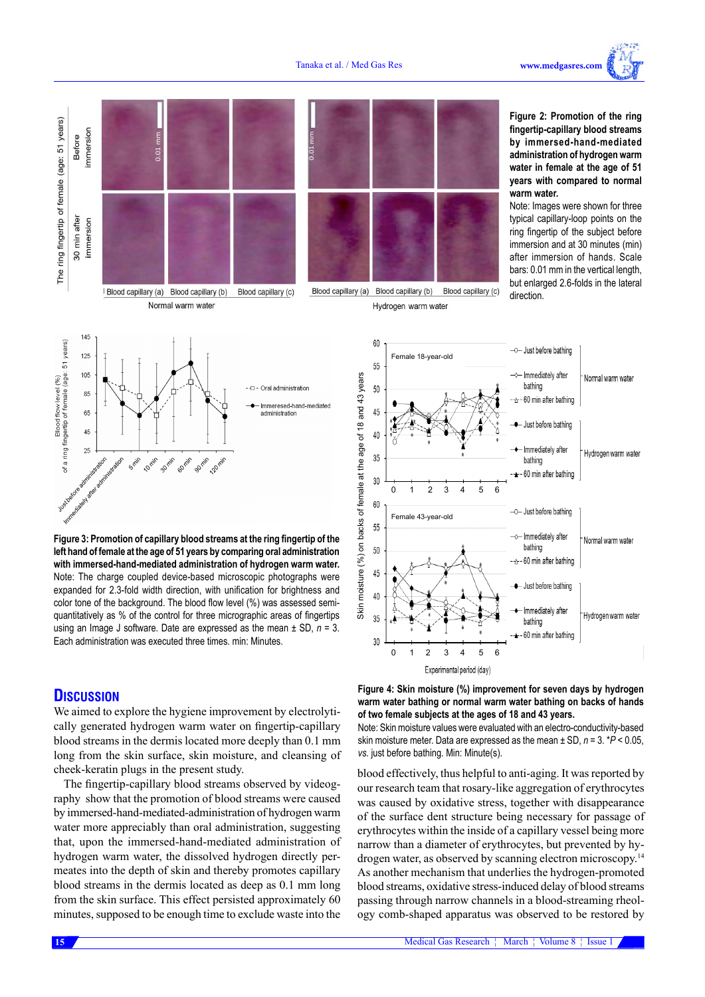Normal warm water

Hydrogen warm water



**left hand of female at the age of 51 years by comparing oral administration with immersed-hand-mediated administration of hydrogen warm water.**  Note: The charge coupled device-based microscopic photographs were expanded for 2.3-fold width direction, with unification for brightness and color tone of the background. The blood flow level (%) was assessed semiquantitatively as % of the control for three micrographic areas of fingertips using an Image J software. Date are expressed as the mean ± SD, *n* = 3. Each administration was executed three times. min: Minutes.

## **DISCUSSION**

We aimed to explore the hygiene improvement by electrolytically generated hydrogen warm water on fingertip-capillary blood streams in the dermis located more deeply than 0.1 mm long from the skin surface, skin moisture, and cleansing of cheek-keratin plugs in the present study.

The fingertip-capillary blood streams observed by videography show that the promotion of blood streams were caused by immersed-hand-mediated-administration of hydrogen warm water more appreciably than oral administration, suggesting that, upon the immersed-hand-mediated administration of hydrogen warm water, the dissolved hydrogen directly permeates into the depth of skin and thereby promotes capillary blood streams in the dermis located as deep as 0.1 mm long from the skin surface. This effect persisted approximately 60 minutes, supposed to be enough time to exclude waste into the

- Immediately after Normal warm water bathing 50  $-\triangle -60$  min after bathing 45 - Just before bathing 40 Immediately after Hydrogen warm water  $35$ bathing  $\leftarrow$  -60 min after bathing 30 0 1 2 3 4 5 6 Experimental period (day)



Note: Skin moisture values were evaluated with an electro-conductivity-based skin moisture meter. Data are expressed as the mean ± SD, *n* = 3. \**P* < 0.05, *vs*. just before bathing. Min: Minute(s).

blood effectively, thus helpful to anti-aging. It was reported by our research team that rosary-like aggregation of erythrocytes was caused by oxidative stress, together with disappearance of the surface dent structure being necessary for passage of erythrocytes within the inside of a capillary vessel being more narrow than a diameter of erythrocytes, but prevented by hydrogen water, as observed by scanning electron microscopy.<sup>14</sup> As another mechanism that underlies the hydrogen-promoted blood streams, oxidative stress-induced delay of blood streams passing through narrow channels in a blood-streaming rheology comb-shaped apparatus was observed to be restored by

**15**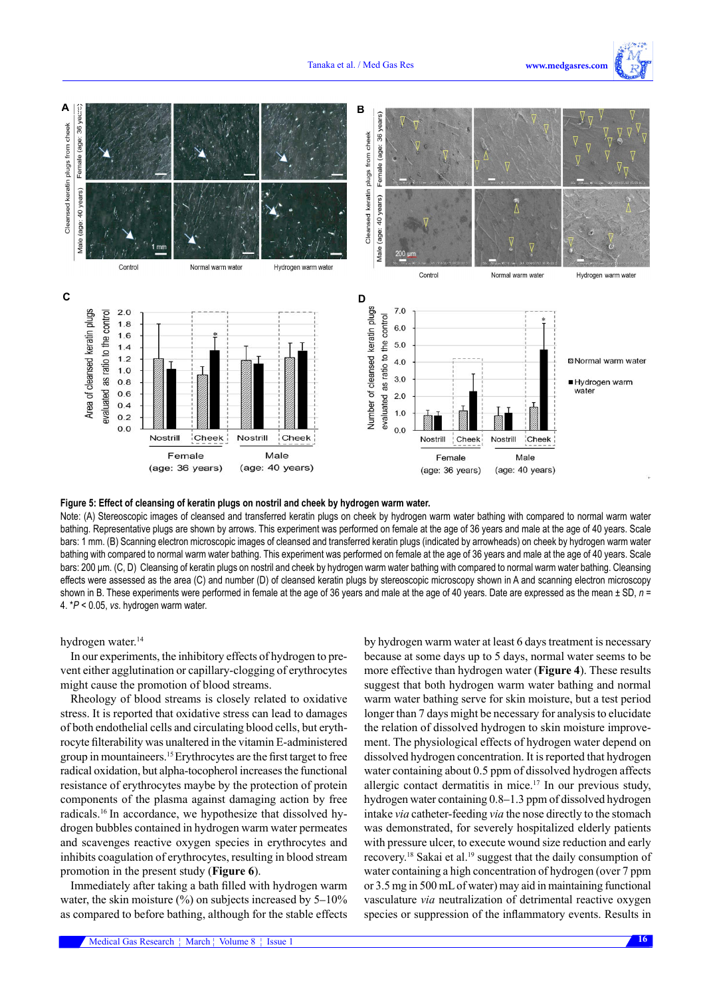



## **Figure 5: Effect of cleansing of keratin plugs on nostril and cheek by hydrogen warm water.**

Note: (A) Stereoscopic images of cleansed and transferred keratin plugs on cheek by hydrogen warm water bathing with compared to normal warm water bathing. Representative plugs are shown by arrows. This experiment was performed on female at the age of 36 years and male at the age of 40 years. Scale bars: 1 mm. (B) Scanning electron microscopic images of cleansed and transferred keratin plugs (indicated by arrowheads) on cheek by hydrogen warm water bathing with compared to normal warm water bathing. This experiment was performed on female at the age of 36 years and male at the age of 40 years. Scale bars: 200 μm. (C, D) Cleansing of keratin plugs on nostril and cheek by hydrogen warm water bathing with compared to normal warm water bathing. Cleansing effects were assessed as the area (C) and number (D) of cleansed keratin plugs by stereoscopic microscopy shown in A and scanning electron microscopy shown in B. These experiments were performed in female at the age of 36 years and male at the age of 40 years. Date are expressed as the mean ± SD, n = 4. \**P* < 0.05, *vs*. hydrogen warm water.

hydrogen water.<sup>14</sup>

In our experiments, the inhibitory effects of hydrogen to prevent either agglutination or capillary-clogging of erythrocytes might cause the promotion of blood streams.

Rheology of blood streams is closely related to oxidative stress. It is reported that oxidative stress can lead to damages of both endothelial cells and circulating blood cells, but erythrocyte filterability was unaltered in the vitamin E-administered group in mountaineers.15 Erythrocytes are the first target to free radical oxidation, but alpha-tocopherol increases the functional resistance of erythrocytes maybe by the protection of protein components of the plasma against damaging action by free radicals.16 In accordance, we hypothesize that dissolved hydrogen bubbles contained in hydrogen warm water permeates and scavenges reactive oxygen species in erythrocytes and inhibits coagulation of erythrocytes, resulting in blood stream promotion in the present study (**Figure 6**).

Immediately after taking a bath filled with hydrogen warm water, the skin moisture  $(\%)$  on subjects increased by 5–10% as compared to before bathing, although for the stable effects by hydrogen warm water at least 6 days treatment is necessary because at some days up to 5 days, normal water seems to be more effective than hydrogen water (**Figure 4**). These results suggest that both hydrogen warm water bathing and normal warm water bathing serve for skin moisture, but a test period longer than 7 days might be necessary for analysis to elucidate the relation of dissolved hydrogen to skin moisture improvement. The physiological effects of hydrogen water depend on dissolved hydrogen concentration. It is reported that hydrogen water containing about 0.5 ppm of dissolved hydrogen affects allergic contact dermatitis in mice.<sup>17</sup> In our previous study, hydrogen water containing 0.8–1.3 ppm of dissolved hydrogen intake *via* catheter-feeding *via* the nose directly to the stomach was demonstrated, for severely hospitalized elderly patients with pressure ulcer, to execute wound size reduction and early recovery.<sup>18</sup> Sakai et al.19 suggest that the daily consumption of water containing a high concentration of hydrogen (over 7 ppm or 3.5 mg in 500 mL of water) may aid in maintaining functional vasculature *via* neutralization of detrimental reactive oxygen species or suppression of the inflammatory events. Results in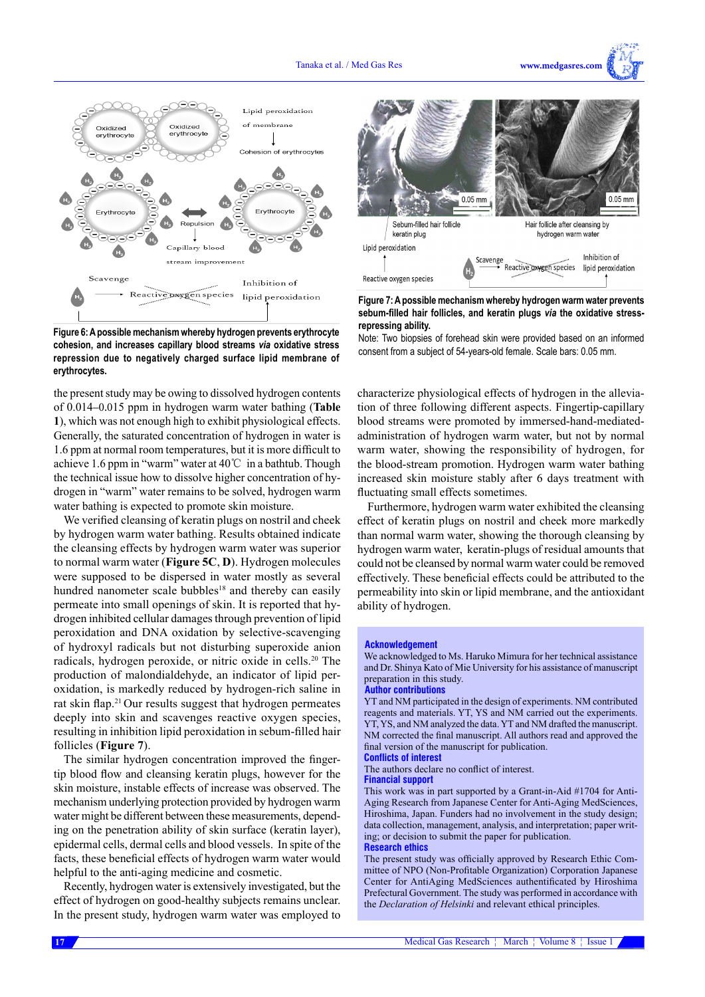



**Figure 6: A possible mechanism whereby hydrogen prevents erythrocyte cohesion, and increases capillary blood streams** *via* **oxidative stress repression due to negatively charged surface lipid membrane of erythrocytes.**

the present study may be owing to dissolved hydrogen contents of 0.014–0.015 ppm in hydrogen warm water bathing (**Table 1**), which was not enough high to exhibit physiological effects. Generally, the saturated concentration of hydrogen in water is 1.6 ppm at normal room temperatures, but it is more difficult to achieve 1.6 ppm in "warm" water at 40℃ in a bathtub. Though the technical issue how to dissolve higher concentration of hydrogen in "warm" water remains to be solved, hydrogen warm water bathing is expected to promote skin moisture.

We verified cleansing of keratin plugs on nostril and cheek by hydrogen warm water bathing. Results obtained indicate the cleansing effects by hydrogen warm water was superior to normal warm water (**Figure 5C**, **D**). Hydrogen molecules were supposed to be dispersed in water mostly as several hundred nanometer scale bubbles<sup>18</sup> and thereby can easily permeate into small openings of skin. It is reported that hydrogen inhibited cellular damages through prevention of lipid peroxidation and DNA oxidation by selective-scavenging of hydroxyl radicals but not disturbing superoxide anion radicals, hydrogen peroxide, or nitric oxide in cells.<sup>20</sup> The production of malondialdehyde, an indicator of lipid peroxidation, is markedly reduced by hydrogen-rich saline in rat skin flap.<sup>21</sup> Our results suggest that hydrogen permeates deeply into skin and scavenges reactive oxygen species, resulting in inhibition lipid peroxidation in sebum-filled hair follicles (**Figure 7**).

The similar hydrogen concentration improved the fingertip blood flow and cleansing keratin plugs, however for the skin moisture, instable effects of increase was observed. The mechanism underlying protection provided by hydrogen warm water might be different between these measurements, depending on the penetration ability of skin surface (keratin layer), epidermal cells, dermal cells and blood vessels. In spite of the facts, these beneficial effects of hydrogen warm water would helpful to the anti-aging medicine and cosmetic.

Recently, hydrogen water is extensively investigated, but the effect of hydrogen on good-healthy subjects remains unclear. In the present study, hydrogen warm water was employed to



**Figure 7: A possible mechanism whereby hydrogen warm water prevents sebum-filled hair follicles, and keratin plugs** *via* **the oxidative stressrepressing ability.** 

Note: Two biopsies of forehead skin were provided based on an informed consent from a subject of 54-years-old female. Scale bars: 0.05 mm.

characterize physiological effects of hydrogen in the alleviation of three following different aspects. Fingertip-capillary blood streams were promoted by immersed-hand-mediatedadministration of hydrogen warm water, but not by normal warm water, showing the responsibility of hydrogen, for the blood-stream promotion. Hydrogen warm water bathing increased skin moisture stably after 6 days treatment with fluctuating small effects sometimes.

Furthermore, hydrogen warm water exhibited the cleansing effect of keratin plugs on nostril and cheek more markedly than normal warm water, showing the thorough cleansing by hydrogen warm water, keratin-plugs of residual amounts that could not be cleansed by normal warm water could be removed effectively. These beneficial effects could be attributed to the permeability into skin or lipid membrane, and the antioxidant ability of hydrogen.

#### **Acknowledgement**

We acknowledged to Ms. Haruko Mimura for her technical assistance and Dr. Shinya Kato of Mie University for his assistance of manuscript preparation in this study.

#### **Author contributions**

YT and NM participated in the design of experiments. NM contributed reagents and materials. YT, YS and NM carried out the experiments. YT, YS, and NM analyzed the data. YT and NM drafted the manuscript. NM corrected the final manuscript. All authors read and approved the final version of the manuscript for publication. **Conflicts of interest**

The authors declare no conflict of interest.

## **Financial support**

This work was in part supported by a Grant-in-Aid #1704 for Anti-Aging Research from Japanese Center for Anti-Aging MedSciences, Hiroshima, Japan. Funders had no involvement in the study design; data collection, management, analysis, and interpretation; paper writing; or decision to submit the paper for publication. **Research ethics** 

The present study was officially approved by Research Ethic Committee of NPO (Non-Profitable Organization) Corporation Japanese Center for AntiAging MedSciences authentificated by Hiroshima Prefectural Government. The study was performed in accordance with the *Declaration of Helsinki* and relevant ethical principles.